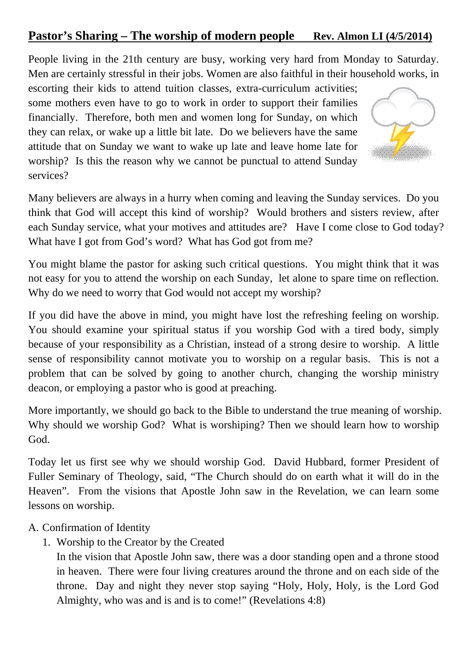## Pastor's Sharing – The worship of modern people Rev. Almon LI (4/5/2014)

People living in the 21th century are busy, working very hard from Monday to Saturday. Men are certainly stressful in their jobs. Women are also faithful in their household works, in

escorting their kids to attend tuition classes, extra-curriculum activities; some mothers even have to go to work in order to support their families financially. Therefore, both men and women long for Sunday, on which they can relax, or wake up a little bit late. Do we believers have the same attitude that on Sunday we want to wake up late and leave home late for worship? Is this the reason why we cannot be punctual to attend Sunday services?



Many believers are always in a hurry when coming and leaving the Sunday services. Do you think that God will accept this kind of worship? Would brothers and sisters review, after each Sunday service, what your motives and attitudes are? Have I come close to God today? What have I got from God's word? What has God got from me?

You might blame the pastor for asking such critical questions. You might think that it was not easy for you to attend the worship on each Sunday, let alone to spare time on reflection. Why do we need to worry that God would not accept my worship?

If you did have the above in mind, you might have lost the refreshing feeling on worship. You should examine your spiritual status if you worship God with a tired body, simply because of your responsibility as a Christian, instead of a strong desire to worship. A little sense of responsibility cannot motivate you to worship on a regular basis. This is not a problem that can be solved by going to another church, changing the worship ministry deacon, or employing a pastor who is good at preaching.

More importantly, we should go back to the Bible to understand the true meaning of worship. Why should we worship God? What is worshiping? Then we should learn how to worship God.

Today let us first see why we should worship God. David Hubbard, former President of Fuller Seminary of Theology, said, "The Church should do on earth what it will do in the Heaven". From the visions that Apostle John saw in the Revelation, we can learn some lessons on worship.

## A. Confirmation of Identity

1. Worship to the Creator by the Created

In the vision that Apostle John saw, there was a door standing open and a throne stood in heaven. There were four living creatures around the throne and on each side of the throne. Day and night they never stop saying "Holy, Holy, Holy, is the Lord God Almighty, who was and is and is to come!" (Revelations 4:8)